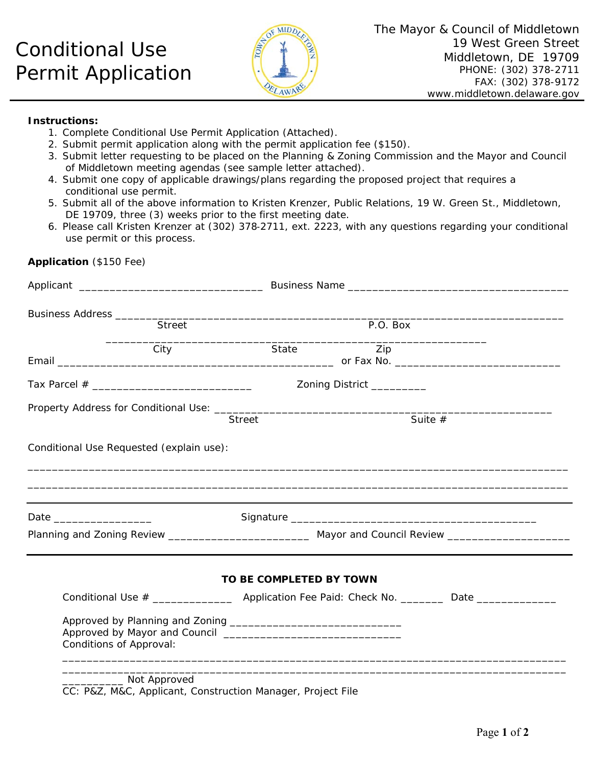## Conditional Use Permit Application



## **Instructions:**

**Application** (\$150 Fee)

- 1. Complete Conditional Use Permit Application (Attached).
- 2. Submit permit application along with the permit application fee (\$150).
- 3. Submit letter requesting to be placed on the Planning & Zoning Commission and the Mayor and Council of Middletown meeting agendas (see sample letter attached).
- 4. Submit one copy of applicable drawings/plans regarding the proposed project that requires a conditional use permit.
- 5. Submit all of the above information to Kristen Krenzer, Public Relations, 19 W. Green St., Middletown, DE 19709, three (3) weeks prior to the first meeting date.
- 6. Please call Kristen Krenzer at (302) 378‐2711, ext. 2223, with any questions regarding your conditional use permit or this process.

| Street                    |                                          | P.O. Box                                                                                                   |     |                                                                                                      |  |
|---------------------------|------------------------------------------|------------------------------------------------------------------------------------------------------------|-----|------------------------------------------------------------------------------------------------------|--|
|                           | City                                     | State                                                                                                      | Zip |                                                                                                      |  |
|                           |                                          | Zoning District __________                                                                                 |     |                                                                                                      |  |
|                           |                                          |                                                                                                            |     |                                                                                                      |  |
|                           |                                          | Suite $#$<br><b>Street</b>                                                                                 |     |                                                                                                      |  |
|                           | Conditional Use Requested (explain use): |                                                                                                            |     |                                                                                                      |  |
|                           |                                          |                                                                                                            |     |                                                                                                      |  |
|                           |                                          |                                                                                                            |     |                                                                                                      |  |
|                           |                                          |                                                                                                            |     |                                                                                                      |  |
| Date ____________________ |                                          |                                                                                                            |     |                                                                                                      |  |
|                           |                                          | Planning and Zoning Review _____________________________ Mayor and Council Review ________________________ |     |                                                                                                      |  |
|                           |                                          |                                                                                                            |     |                                                                                                      |  |
|                           |                                          | TO BE COMPLETED BY TOWN                                                                                    |     |                                                                                                      |  |
|                           |                                          |                                                                                                            |     | Conditional Use # ______________________ Application Fee Paid: Check No. _________ Date ____________ |  |
|                           |                                          |                                                                                                            |     |                                                                                                      |  |
|                           | Conditions of Approval:                  |                                                                                                            |     |                                                                                                      |  |
|                           | ______________ Not Approved              |                                                                                                            |     |                                                                                                      |  |

CC: P&Z, M&C, Applicant, Construction Manager, Project File